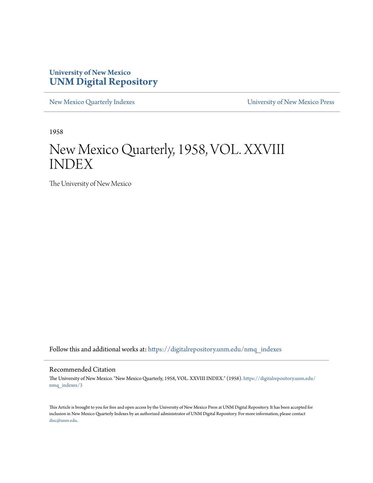### **University of New Mexico [UNM Digital Repository](https://digitalrepository.unm.edu?utm_source=digitalrepository.unm.edu%2Fnmq_indexes%2F3&utm_medium=PDF&utm_campaign=PDFCoverPages)**

[New Mexico Quarterly Indexes](https://digitalrepository.unm.edu/nmq_indexes?utm_source=digitalrepository.unm.edu%2Fnmq_indexes%2F3&utm_medium=PDF&utm_campaign=PDFCoverPages) [University of New Mexico Press](https://digitalrepository.unm.edu/press?utm_source=digitalrepository.unm.edu%2Fnmq_indexes%2F3&utm_medium=PDF&utm_campaign=PDFCoverPages)

1958

### New Mexico Quarterly, 1958, VOL. XXVIII INDEX

The University of New Mexico

Follow this and additional works at: [https://digitalrepository.unm.edu/nmq\\_indexes](https://digitalrepository.unm.edu/nmq_indexes?utm_source=digitalrepository.unm.edu%2Fnmq_indexes%2F3&utm_medium=PDF&utm_campaign=PDFCoverPages)

#### Recommended Citation

The University of New Mexico. "New Mexico Quarterly, 1958, VOL. XXVIII INDEX." (1958). [https://digitalrepository.unm.edu/](https://digitalrepository.unm.edu/nmq_indexes/3?utm_source=digitalrepository.unm.edu%2Fnmq_indexes%2F3&utm_medium=PDF&utm_campaign=PDFCoverPages) [nmq\\_indexes/3](https://digitalrepository.unm.edu/nmq_indexes/3?utm_source=digitalrepository.unm.edu%2Fnmq_indexes%2F3&utm_medium=PDF&utm_campaign=PDFCoverPages)

This Article is brought to you for free and open access by the University of New Mexico Press at UNM Digital Repository. It has been accepted for inclusion in New Mexico Quarterly Indexes by an authorized administrator of UNM Digital Repository. For more information, please contact [disc@unm.edu](mailto:disc@unm.edu).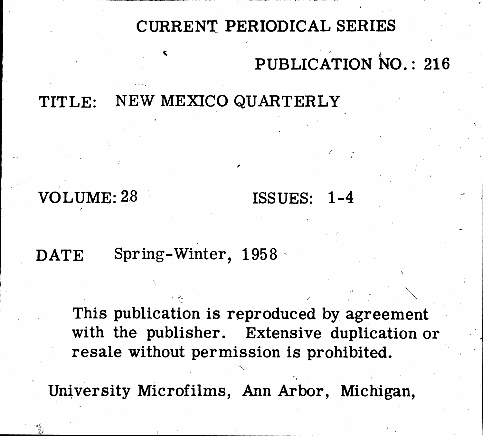# CURRENT PERIODICAL SERIES PUBLICATION NO.: 216

### NEW MEXICO QUARTERLY TITLE:

# VOLUME: 28

## Spring-Winter, 1958 DATE

# This publication is reproduced by agreement with the publisher. Extensive duplication or resale without permission is prohibited.

University Microfilms, Ann Arbor, Michigan,

# ISSUES: 1-4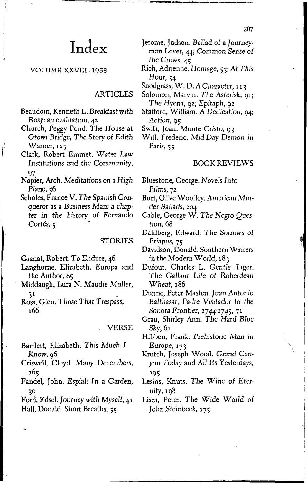### Index

### VOLUME XXVIII - 1958

### **ARTICLES**

- Beaudoin, Kenneth L. Breakfast with Rosy: an evaluation, 42
- Church, Peggy Pond. The House at Otowi Bridge, The Story of Edith  $Warner, 115$
- Clark, Robert Emmet. Water Law Institutions and the Community, 97

 $\begin{bmatrix} 1 \\ 1 \\ 2 \end{bmatrix}$ 

- Napier, Arch. Meditations on a High Plane, 56
- Scholes, France V. The Spanish Conqueror as a Business Man: a chapter in the history of Fernando Cortés, 5

#### **STORIES**

Granat, Robert. To Endure, 46

- Langhorne, Elizabeth. Europa and the Author, 85
- Middaugh, Lura N. Maudie Muller,  $31$
- Ross, Glen. Those That Trespass, 166

### **VERSE**

- Bartlett, Elizabeth. This Much I Know, 96
- Criswell, Cloyd. Many Decembers, 165
- Fandel, John. Espial: In a Garden, 30
- Ford, Edsel. Journey with Myself, 41 Hall, Donald. Short Breaths, 55
- Jerome, Judson. Ballad of a Journeyman Lover, 44; Common Sense of the Crows, 45
- Rich, Adrienne. Homage, 53; At This Hour,  $54$

Snodgrass, W. D. A Character, 113

- Solomon, Marvin. The Asterisk, 91; The Hyena, 92; Epitaph, 92
- Stafford, William. A Dedication, 94; Action, 95
- Swift, Joan. Monte Cristo, 93
- Will, Frederic. Mid-Day Demon in Paris, 55

### **BOOK REVIEWS**

- Bluestone, George. Novels Into  $Films, 72$
- Burt, Olive Woolley. American Murder Ballads, 204
- Cable, George W. The Negro Question, 68
- Dahlberg, Edward. The Sorrows of Priapus, 75
- Davidson, Donald. Southern Writers in the Modern World, 183
- Dufour, Charles L. Gentle Tiger, The Gallant Life of Roberdeau Wheat, 186
- Dunne, Peter Masten. Juan Antonio Balthasar, Padre Visitador to the Sonora Frontier, 1744-1745, 71
- Grau, Shirley Ann. The Hard Blue  $Sky, 61$
- Hibben, Frank. Prehistoric Man in Europe,  $173$
- Krutch, Joseph Wood. Grand Canyon Today and All Its Yesterdays, 195
- Lesins, Knuts. The Wine of Eternity, 198
- Lisca, Peter. The Wide World of John Steinbeck, 175